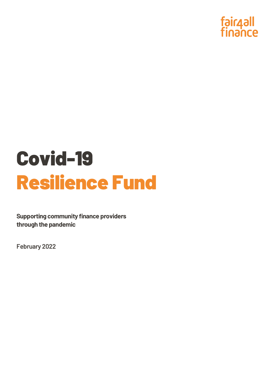

## Covid-19 Resilience Fund

**Supporting community finance providers through the pandemic**

**February 2022**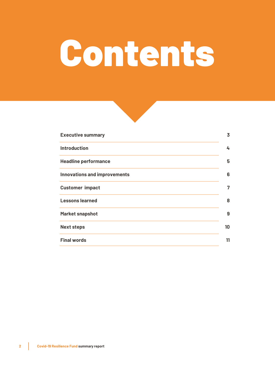# Contents



| <b>Executive summary</b>            | $\overline{3}$ |
|-------------------------------------|----------------|
| <b>Introduction</b>                 | 4              |
| <b>Headline performance</b>         | 5              |
| <b>Innovations and improvements</b> | 6              |
| <b>Customer impact</b>              | 7              |
| <b>Lessons learned</b>              | 8              |
| <b>Market snapshot</b>              | 9              |
| <b>Next steps</b>                   | 10             |
| <b>Final words</b>                  | 11             |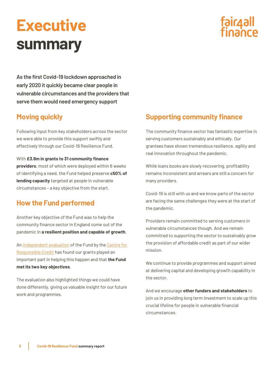## <span id="page-2-0"></span>**Executive summary**



**As the first Covid-19 lockdown approached in early 2020 it quickly became clear people in vulnerable circumstances and the providers that serve them would need emergency support**

### **Moving quickly**

Following input from key stakeholders across the sector we were able to provide this support swiftly and effectively through our Covid-19 Resilience Fund.

#### With **£3.9m in grants to 31 community finance**

**providers**, most of which were deployed within 6 weeks of identifying a need, the Fund helped preserve **c50% of lending capacity** targeted at people in vulnerable circumstances – a key objective from the start.

### **How the Fund performed**

Another key objective of the Fund was to help the community finance sector in England come out of the pandemic in **a resilient position and capable of growth**.

A[n independent evaluation](https://www.responsible-credit.org.uk/reports/evaluation-of-fair4all-finances-covid-19-resilience-fund) of the Fund by th[e Centre for](https://www.responsible-credit.org.uk/) [Responsible Credit](https://www.responsible-credit.org.uk/) has found our grants played an important part in helping this happen and that **the Fund met its two key objectives**.

The evaluation also highlighted things we could have done differently, giving us valuable insight for our future work and programmes.

#### **Supporting community finance**

The community finance sector has fantastic expertise in serving customers sustainably and ethically. Our grantees have shown tremendous resilience, agility and real innovation throughout the pandemic.

While loans books are slowly recovering, profitability remains inconsistent and arrears are still a concern for many providers.

Covid-19 is still with us and we know parts of the sector are facing the same challenges they were at the start of the pandemic.

Providers remain committed to serving customers in vulnerable circumstances though. And we remain committed to supporting the sector to sustainably grow the provision of affordable credit as part of our wider mission.

We continue to provide programmes and support aimed at delivering capital and developing growth capability in the sector.

And we encourage **other funders and stakeholders** to join us in providing long term investment to scale up this crucial lifeline for people in vulnerable financial circumstances.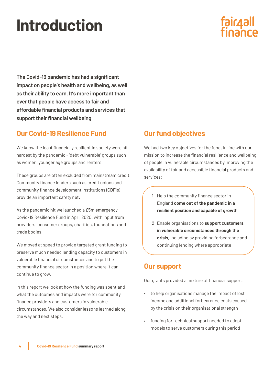## <span id="page-3-0"></span>**Introduction**

## fair4all<br>finance

**The Covid-19 pandemic has had a significant impact on people's health and wellbeing, as well as their ability to earn. It's more important than ever that people have access to fair and affordable financial products and services that support their financial wellbeing**

### **Our Covid-19 Resilience Fund**

We know the least financially resilient in society were hit hardest by the pandemic - 'debt vulnerable' groups such as women, younger age groups and renters.

These groups are often excluded from mainstream credit. Community finance lenders such as credit unions and community finance development institutions (CDFIs) provide an important safety net.

As the pandemic hit we launched a £5m emergency Covid-19 Resilience Fund in April 2020, with input from providers, consumer groups, charities, foundations and trade bodies.

We moved at speed to provide targeted grant funding to preserve much needed lending capacity to customers in vulnerable financial circumstances and to put the community finance sector in a position where it can continue to grow.

In this report we look at how the funding was spent and what the outcomes and impacts were for community finance providers and customers in vulnerable circumstances. We also consider lessons learned along the way and next steps.

### **Our fund objectives**

We had two key objectives for the fund, in line with our mission to increase the financial resilience and wellbeing of people in vulnerable circumstances by improving the availability of fair and accessible financial products and services:

- 1 Help the community finance sector in England **come out of the pandemic in a resilient position and capable of growth**
- 2 Enable organisations to **support customers in vulnerable circumstances through the crisis**, including by providing forbearance and continuing lending where appropriate

### **Our support**

Our grants provided a mixture of financial support:

- to help organisations manage the impact of lost income and additional forbearance costs caused by the crisis on their organisational strength
- funding for technical support needed to adapt models to serve customers during this period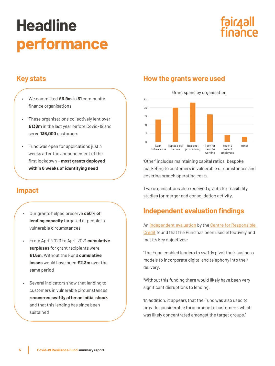## <span id="page-4-0"></span>**Headline performance**



### **Key stats**

- We committed **£3.9m** to **31** community finance organisations
- These organisations collectively lent over **£138m** in the last year before Covid-19 and serve **136,000** customers
- Fund was open for applications just 3 weeks after the announcement of the first lockdown – **most grants deployed within 6 weeks of identifying need**

### **Impact**

- Our grants helped preserve **c50% of lending capacity** targeted at people in vulnerable circumstances
- From April 2020 to April 2021 **cumulative surpluses** for grant recipients were **£1.5m**. Without the Fund **cumulative losses** would have been **£2.3m** over the same period
- Several indicators show that lending to customers in vulnerable circumstances **recovered swiftly after an initial shock** and that this lending has since been sustained

### **How the grants were used**

Grant spend by organisation



'Other' includes maintaining capital ratios, bespoke marketing to customers in vulnerable circumstances and covering branch operating costs.

Two organisations also received grants for feasibility studies for merger and consolidation activity.

### **Independent evaluation findings**

A[n independent evaluation](https://www.responsible-credit.org.uk/reports/evaluation-of-fair4all-finances-covid-19-resilience-fund) by the Centre for Responsible [Credit](https://www.responsible-credit.org.uk/) found that the Fund has been used effectively and met its key objectives:

'The Fund enabled lenders to swiftly pivot their business models to incorporate digital and telephony into their delivery.

'Without this funding there would likely have been very significant disruptions to lending.

'In addition, it appears that the Fund was also used to provide considerable forbearance to customers, which was likely concentrated amongst the target groups.'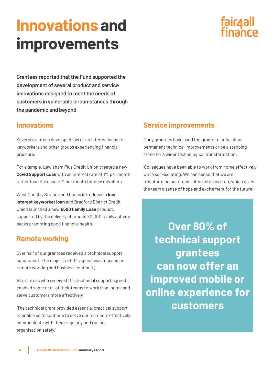### <span id="page-5-0"></span>**Innovations and improvements**

## fair4all<br>finance

**Grantees reported that the Fund supported the development of several product and service innovations designed to meet the needs of customers in vulnerable circumstances through the pandemic and beyond**

### **Innovations**

Several grantees developed low or no interest loans for keyworkers and other groups experiencing financial pressure.

For example, Lewisham Plus Credit Union created a new **Covid Support Loan** with an interest rate of 1% per month rather than the usual 3% per month for new members.

West Country Savings and Loans introduced a **low interest keyworker loan** and Bradford District Credit Union launched a new **£500 Family Loan** product, supported by the delivery of around 80,000 family activity packs promoting good financial health.

### **Remote working**

Over half of our grantees received a technical support component. The majority of this spend was focused on remote working and business continuity.

All grantees who received this technical support agreed it enabled some or all of their teams to work from home and serve customers more effectively:

'The technical grant provided essential practical support to enable us to continue to serve our members effectively, communicate with them regularly and run our organisation safely.'

### **Service improvements**

Many grantees have used the grants to bring about permanent technical improvements or be a stepping stone for a wider technological transformation:

'Colleagues have been able to work from home effectively while self-isolating. We can sense that we are transforming our organisation, step by step, which gives the team a sense of hope and excitement for the future.'

**Over 60% of technical support grantees can now offer an improved mobile or online experience for customers**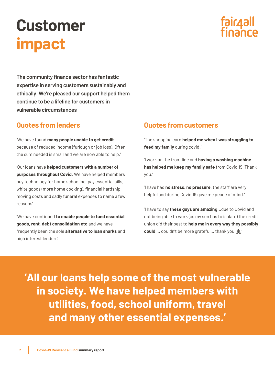## <span id="page-6-0"></span>**Customer impact**

## fair4all

**The community finance sector has fantastic expertise in serving customers sustainably and ethically. We're pleased our support helped them continue to be a lifeline for customers in vulnerable circumstances**

### **Quotes from lenders**

'We have found **many people unable to get credit** because of reduced income (furlough or job loss). Often the sum needed is small and we are now able to help.'

'Our loans have **helped customers with a number of purposes throughout Covid**. We have helped members buy technology for home schooling, pay essential bills, white goods (more home cooking), financial hardship, moving costs and sadly funeral expenses to name a few reasons'

'We have continued **to enable people to fund essential goods, rent, debt consolidation etc** and we have frequently been the sole **alternative to loan sharks** and high interest lenders'

### **Quotes from customers**

'The shopping card **helped me when I was struggling to feed my family** during covid.'

'I work on the front line and **having a washing machine has helped me keep my family safe** from Covid 19. Thank you.'

'I have had **no stress, no pressure**, the staff are very helpful and during Covid 19 gave me peace of mind.'

'I have to say **these guys are amazing**...due to Covid and not being able to work (as my son has to isolate) the credit union did their best to **help me in every way they possibly**  could ... couldn't be more grateful... thank you  $\mathbb{A}'$ 

**'All our loans help some of the most vulnerable in society. We have helped members with utilities, food, school uniform, travel and many other essential expenses.'**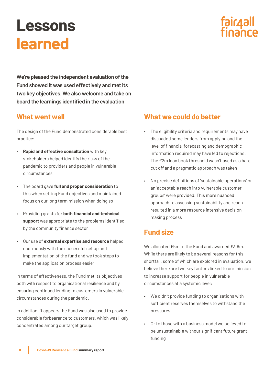### <span id="page-7-0"></span>**Lessons learned**



**We're pleased the independent evaluation of the Fund showed it was used effectively and met its two key objectives. We also welcome and take on board the learnings identified in the evaluation**

### **What went well**

The design of the Fund demonstrated considerable best practice:

- **Rapid and effective consultation** with key stakeholders helped identify the risks of the pandemic to providers and people in vulnerable circumstances
- The board gave **full and proper consideration** to this when setting Fund objectives and maintained focus on our long term mission when doing so
- Providing grants for **both financial and technical support** was appropriate to the problems identified by the community finance sector
- Our use of **external expertise and resource** helped enormously with the successful set up and implementation of the fund and we took steps to make the application process easier

In terms of effectiveness, the Fund met its objectives both with respect to organisational resilience and by ensuring continued lending to customers in vulnerable circumstances during the pandemic.

In addition, it appears the Fund was also used to provide considerable forbearance to customers, which was likely concentrated among our target group.

### **What we could do better**

- The eligibility criteria and requirements may have dissuaded some lenders from applying and the level of financial forecasting and demographic information required may have led to rejections. The £2m loan book threshold wasn't used as a hard cut off and a pragmatic approach was taken
- No precise definitions of 'sustainable operations' or an 'acceptable reach into vulnerable customer groups' were provided. This more nuanced approach to assessing sustainability and reach resulted in a more resource intensive decision making process

### **Fund size**

We allocated  $f5m$  to the Fund and awarded  $f3.9m$ . While there are likely to be several reasons for this shortfall, some of which are explored in evaluation, we believe there are two key factors linked to our mission to increase support for people in vulnerable circumstances at a systemic level:

- We didn't provide funding to organisations with sufficient reserves themselves to withstand the pressures
- Or to those with a business model we believed to be unsustainable without significant future grant funding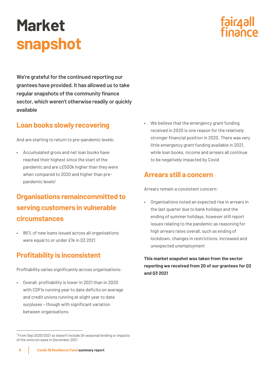## <span id="page-8-0"></span>**Market snapshot**



**We're grateful for the continued reporting our grantees have provided. It has allowed us to take regular snapshots of the community finance sector, which weren't otherwise readily or quickly available**

### **Loan books slowly recovering**

And are starting to return to pre-pandemic levels:

• Accumulated gross and net loan books have reached their highest since the start of the pandemic and are c£500k higher than they were when compared to 2020 and higher than prepandemic levels<sup>1</sup>

### **Organisations remaincommitted to serving customers in vulnerable circumstances**

• 86% of new loans issued across all organisations were equal to or under £1k in Q3 2021

### **Profitability is inconsistent**

Profitability varies significantly across organisations:

• Overall, profitability is lower in 2021 than in 2020 with CDFIs running year to date deficits on average and credit unions running at slight year to date surpluses – though with significant variation between organisations

• We believe that the emergency grant funding received in 2020 is one reason for the relatively stronger financial position in 2020. There was very little emergency grant funding available in 2021, while loan books, income and arrears all continue to be negatively impacted by Covid

### **Arrears still a concern**

Arrears remain a consistent concern:

• Organisations noted an expected rise in arrears in the last quarter due to bank holidays and the ending of summer holidays, however still report issues relating to the pandemic as reasoning for high arrears rates overall, such as ending of lockdown, changes in restrictions, increased and unexpected unemployment

**This market snapshot was taken from the sector reporting we received from 20 of our grantees for Q2 and Q3 2021**

<sup>&</sup>lt;sup>1</sup> From Sep 2020/2021 so doesn't include Q4 seasonal lending or impacts of the omicron wave in December 2021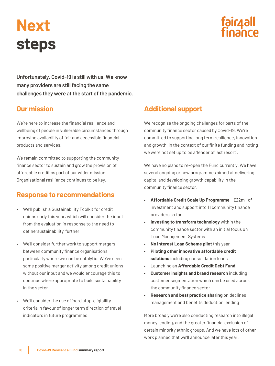## <span id="page-9-0"></span>**Next steps**



**Unfortunately, Covid-19 is still with us. We know many providers are still facing the same challenges they were at the start of the pandemic.** 

### **Our mission**

We're here to increase the financial resilience and wellbeing of people in vulnerable circumstances through improving availability of fair and accessible financial products and services.

We remain committed to supporting the community finance sector to sustain and grow the provision of affordable credit as part of our wider mission. Organisational resilience continues to be key.

### **Response to recommendations**

- We'll publish a Sustainability Toolkit for credit unions early this year, which will consider the input from the evaluation in response to the need to define 'sustainability' further
- We'll consider further work to support mergers between community finance organisations, particularly where we can be catalytic. We've seen some positive merger activity among credit unions without our input and we would encourage this to continue where appropriate to build sustainability in the sector
- We'll consider the use of 'hard stop' eligibility criteria in favour of longer term direction of travel indicators in future programmes

### **Additional support**

We recognise the ongoing challenges for parts of the community finance sector caused by Covid-19. We're committed to supporting long term resilience, innovation and growth, in the context of our finite funding and noting we were not set up to be a 'lender of last resort'.

We have no plans to re-open the Fund currently. We have several ongoing or new programmes aimed at delivering capital and developing growth capability in the community finance sector:

- **Affordable Credit Scale Up Programme** £22m+ of investment and support into 11 community finance providers so far
- **Investing to transform technology** within the community finance sector with an initial focus on Loan Management Systems
- **No Interest Loan Scheme pilot** this year
- **Piloting other innovative affordable credit solutions** including consolidation loans
- Launching an **Affordable Credit Debt Fund**
- **Customer insights and brand research** including customer segmentation which can be used across the community finance sector
- **Research and best practice sharing** on declines management and benefits deduction lending

More broadly we're also conducting research into illegal money lending, and the greater financial exclusion of certain minority ethnic groups. And we have lots of other work planned that we'll announce later this year.